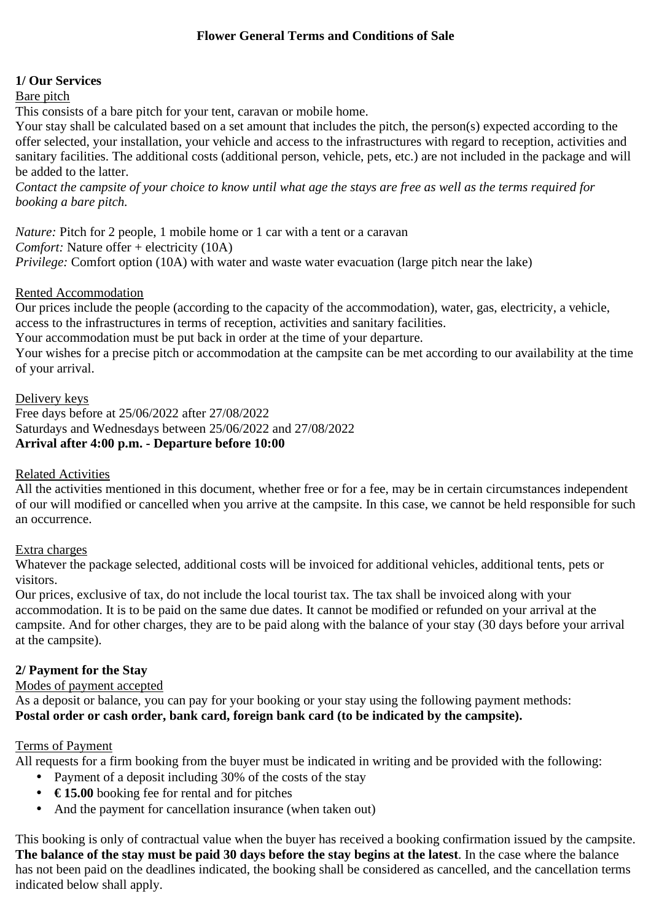## **1/ Our Services**

### Bare pitch

This consists of a bare pitch for your tent, caravan or mobile home.

Your stay shall be calculated based on a set amount that includes the pitch, the person(s) expected according to the offer selected, your installation, your vehicle and access to the infrastructures with regard to reception, activities and sanitary facilities. The additional costs (additional person, vehicle, pets, etc.) are not included in the package and will be added to the latter.

*Contact the campsite of your choice to know until what age the stays are free as well as the terms required for booking a bare pitch.* 

*Nature:* Pitch for 2 people, 1 mobile home or 1 car with a tent or a caravan *Comfort:* Nature offer + electricity (10A) *Privilege:* Comfort option (10A) with water and waste water evacuation (large pitch near the lake)

### Rented Accommodation

Our prices include the people (according to the capacity of the accommodation), water, gas, electricity, a vehicle, access to the infrastructures in terms of reception, activities and sanitary facilities.

Your accommodation must be put back in order at the time of your departure.

Your wishes for a precise pitch or accommodation at the campsite can be met according to our availability at the time of your arrival.

# Delivery keys

Free days before at 25/06/2022 after 27/08/2022 Saturdays and Wednesdays between 25/06/2022 and 27/08/2022 **Arrival after 4:00 p.m. - Departure before 10:00** 

### Related Activities

All the activities mentioned in this document, whether free or for a fee, may be in certain circumstances independent of our will modified or cancelled when you arrive at the campsite. In this case, we cannot be held responsible for such an occurrence.

# Extra charges

Whatever the package selected, additional costs will be invoiced for additional vehicles, additional tents, pets or visitors.

Our prices, exclusive of tax, do not include the local tourist tax. The tax shall be invoiced along with your accommodation. It is to be paid on the same due dates. It cannot be modified or refunded on your arrival at the campsite. And for other charges, they are to be paid along with the balance of your stay (30 days before your arrival at the campsite).

# **2/ Payment for the Stay**

Modes of payment accepted

As a deposit or balance, you can pay for your booking or your stay using the following payment methods: **Postal order or cash order, bank card, foreign bank card (to be indicated by the campsite).** 

# Terms of Payment

All requests for a firm booking from the buyer must be indicated in writing and be provided with the following:

- Payment of a deposit including 30% of the costs of the stay
- **€ 15.00** booking fee for rental and for pitches
- And the payment for cancellation insurance (when taken out)

This booking is only of contractual value when the buyer has received a booking confirmation issued by the campsite. **The balance of the stay must be paid 30 days before the stay begins at the latest**. In the case where the balance has not been paid on the deadlines indicated, the booking shall be considered as cancelled, and the cancellation terms indicated below shall apply.